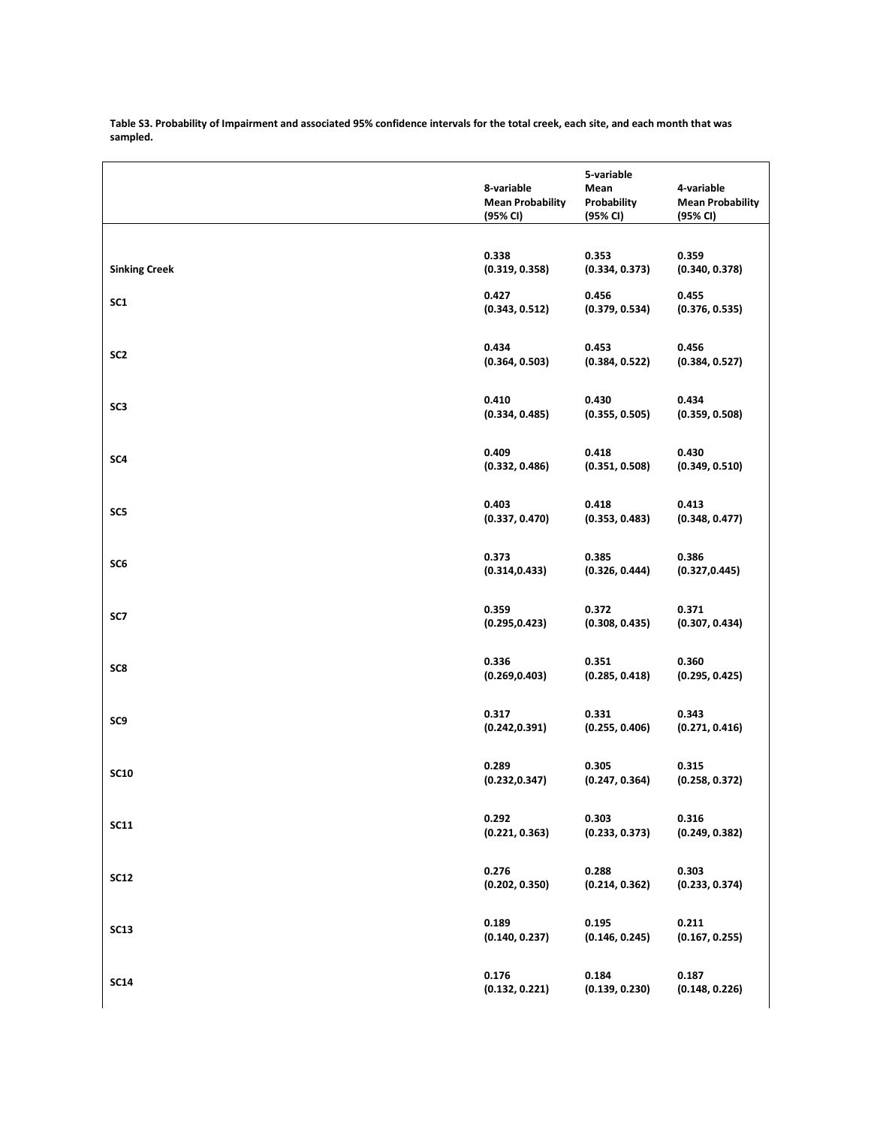|                      | 8-variable<br><b>Mean Probability</b><br>(95% CI) | 5-variable<br>Mean<br>Probability<br>(95% CI) | 4-variable<br><b>Mean Probability</b><br>(95% CI) |
|----------------------|---------------------------------------------------|-----------------------------------------------|---------------------------------------------------|
| <b>Sinking Creek</b> | 0.338                                             | 0.353                                         | 0.359                                             |
|                      | (0.319, 0.358)                                    | (0.334, 0.373)                                | (0.340, 0.378)                                    |
| SC <sub>1</sub>      | 0.427                                             | 0.456                                         | 0.455                                             |
|                      | (0.343, 0.512)                                    | (0.379, 0.534)                                | (0.376, 0.535)                                    |
| SC <sub>2</sub>      | 0.434                                             | 0.453                                         | 0.456                                             |
|                      | (0.364, 0.503)                                    | (0.384, 0.522)                                | (0.384, 0.527)                                    |
| SC3                  | 0.410                                             | 0.430                                         | 0.434                                             |
|                      | (0.334, 0.485)                                    | (0.355, 0.505)                                | (0.359, 0.508)                                    |
| SC4                  | 0.409                                             | 0.418                                         | 0.430                                             |
|                      | (0.332, 0.486)                                    | (0.351, 0.508)                                | (0.349, 0.510)                                    |
| SC5                  | 0.403                                             | 0.418                                         | 0.413                                             |
|                      | (0.337, 0.470)                                    | (0.353, 0.483)                                | (0.348, 0.477)                                    |
| SC <sub>6</sub>      | 0.373                                             | 0.385                                         | 0.386                                             |
|                      | (0.314, 0.433)                                    | (0.326, 0.444)                                | (0.327, 0.445)                                    |
| SC7                  | 0.359                                             | 0.372                                         | 0.371                                             |
|                      | (0.295, 0.423)                                    | (0.308, 0.435)                                | (0.307, 0.434)                                    |
| SC8                  | 0.336                                             | 0.351                                         | 0.360                                             |
|                      | (0.269, 0.403)                                    | (0.285, 0.418)                                | (0.295, 0.425)                                    |
| SC9                  | 0.317                                             | 0.331                                         | 0.343                                             |
|                      | (0.242, 0.391)                                    | (0.255, 0.406)                                | (0.271, 0.416)                                    |
| <b>SC10</b>          | 0.289                                             | 0.305                                         | 0.315                                             |
|                      | (0.232, 0.347)                                    | (0.247, 0.364)                                | (0.258, 0.372)                                    |
| <b>SC11</b>          | 0.292                                             | 0.303                                         | 0.316                                             |
|                      | (0.221, 0.363)                                    | (0.233, 0.373)                                | (0.249, 0.382)                                    |
| <b>SC12</b>          | 0.276                                             | 0.288                                         | 0.303                                             |
|                      | (0.202, 0.350)                                    | (0.214, 0.362)                                | (0.233, 0.374)                                    |
| <b>SC13</b>          | 0.189                                             | 0.195                                         | 0.211                                             |
|                      | (0.140, 0.237)                                    | (0.146, 0.245)                                | (0.167, 0.255)                                    |
| <b>SC14</b>          | 0.176                                             | 0.184                                         | 0.187                                             |
|                      | (0.132, 0.221)                                    | (0.139, 0.230)                                | (0.148, 0.226)                                    |

**Table S3. Probability of Impairment and associated 95% confidence intervals for the total creek, each site, and each month that was sampled.**